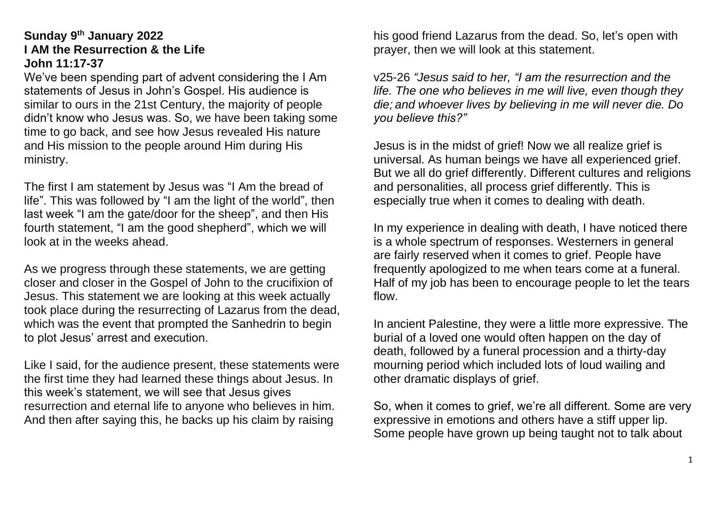## **Sunday 9th January 2022 I AM the Resurrection & the Life John 11:17-37**

We've been spending part of advent considering the I Am statements of Jesus in John's Gospel. His audience is similar to ours in the 21st Century, the majority of people didn't know who Jesus was. So, we have been taking some time to go back, and see how Jesus revealed His nature and His mission to the people around Him during His ministry.

The first I am statement by Jesus was "I Am the bread of life". This was followed by "I am the light of the world", then last week "I am the gate/door for the sheep", and then His fourth statement, "I am the good shepherd", which we will look at in the weeks ahead.

As we progress through these statements, we are getting closer and closer in the Gospel of John to the crucifixion of Jesus. This statement we are looking at this week actually took place during the resurrecting of Lazarus from the dead, which was the event that prompted the Sanhedrin to begin to plot Jesus' arrest and execution.

Like I said, for the audience present, these statements were the first time they had learned these things about Jesus. In this week's statement, we will see that Jesus gives resurrection and eternal life to anyone who believes in him. And then after saying this, he backs up his claim by raising

his good friend Lazarus from the dead. So, let's open with prayer, then we will look at this statement.

v25-26 *"Jesus said to her, "I am the resurrection and the life. The one who believes in me will live, even though they die; and whoever lives by believing in me will never die. Do you believe this?"*

Jesus is in the midst of grief! Now we all realize grief is universal. As human beings we have all experienced grief. But we all do grief differently. Different cultures and religions and personalities, all process grief differently. This is especially true when it comes to dealing with death.

In my experience in dealing with death, I have noticed there is a whole spectrum of responses. Westerners in general are fairly reserved when it comes to grief. People have frequently apologized to me when tears come at a funeral. Half of my job has been to encourage people to let the tears flow.

In ancient Palestine, they were a little more expressive. The burial of a loved one would often happen on the day of death, followed by a funeral procession and a thirty-day mourning period which included lots of loud wailing and other dramatic displays of grief.

So, when it comes to grief, we're all different. Some are very expressive in emotions and others have a stiff upper lip. Some people have grown up being taught not to talk about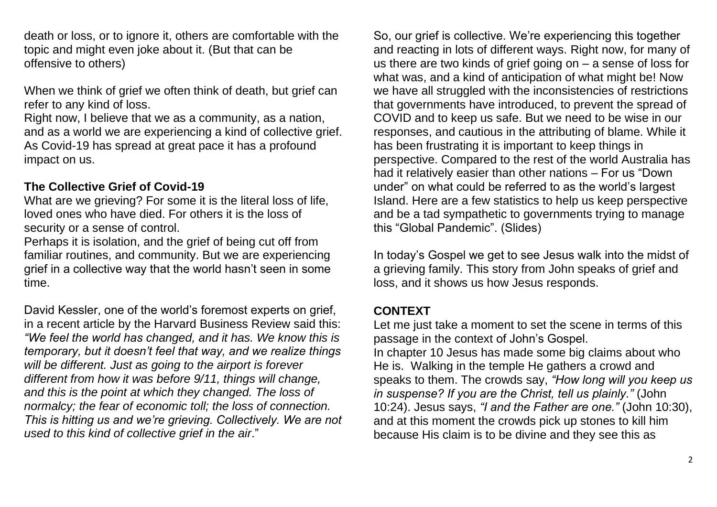death or loss, or to ignore it, others are comfortable with the topic and might even joke about it. (But that can be offensive to others)

When we think of grief we often think of death, but grief can refer to any kind of loss.

Right now, I believe that we as a community, as a nation, and as a world we are experiencing a kind of collective grief. As Covid-19 has spread at great pace it has a profound impact on us.

## **The Collective Grief of Covid-19**

What are we grieving? For some it is the literal loss of life, loved ones who have died. For others it is the loss of security or a sense of control.

Perhaps it is isolation, and the grief of being cut off from familiar routines, and community. But we are experiencing grief in a collective way that the world hasn't seen in some time.

David Kessler, one of the world's foremost experts on grief, in a recent article by the Harvard Business Review said this: *"We feel the world has changed, and it has. We know this is temporary, but it doesn't feel that way, and we realize things will be different. Just as going to the airport is forever different from how it was before 9/11, things will change, and this is the point at which they changed. The loss of normalcy; the fear of economic toll; the loss of connection. This is hitting us and we're grieving. Collectively. We are not used to this kind of collective grief in the air*."

So, our grief is collective. We're experiencing this together and reacting in lots of different ways. Right now, for many of us there are two kinds of grief going on – a sense of loss for what was, and a kind of anticipation of what might be! Now we have all struggled with the inconsistencies of restrictions that governments have introduced, to prevent the spread of COVID and to keep us safe. But we need to be wise in our responses, and cautious in the attributing of blame. While it has been frustrating it is important to keep things in perspective. Compared to the rest of the world Australia has had it relatively easier than other nations – For us "Down under" on what could be referred to as the world's largest Island. Here are a few statistics to help us keep perspective and be a tad sympathetic to governments trying to manage this "Global Pandemic". (Slides)

In today's Gospel we get to see Jesus walk into the midst of a grieving family. This story from John speaks of grief and loss, and it shows us how Jesus responds.

## **CONTEXT**

Let me just take a moment to set the scene in terms of this passage in the context of John's Gospel. In chapter 10 Jesus has made some big claims about who He is. Walking in the temple He gathers a crowd and speaks to them. The crowds say, *"How long will you keep us in suspense? If you are the Christ, tell us plainly."* (John 10:24). Jesus says, *"I and the Father are one."* (John 10:30), and at this moment the crowds pick up stones to kill him because His claim is to be divine and they see this as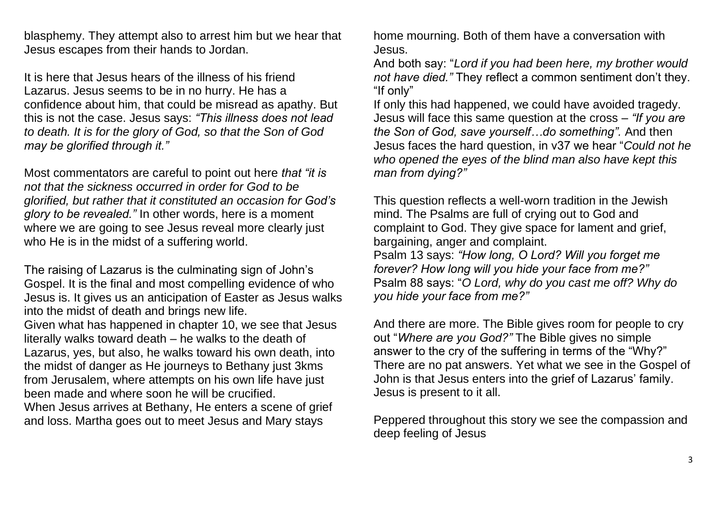blasphemy. They attempt also to arrest him but we hear that Jesus escapes from their hands to Jordan.

It is here that Jesus hears of the illness of his friend Lazarus. Jesus seems to be in no hurry. He has a confidence about him, that could be misread as apathy. But this is not the case. Jesus says: *"This illness does not lead to death. It is for the glory of God, so that the Son of God may be glorified through it."*

Most commentators are careful to point out here *that "it is not that the sickness occurred in order for God to be glorified, but rather that it constituted an occasion for God's glory to be revealed."* In other words, here is a moment where we are going to see Jesus reveal more clearly just who He is in the midst of a suffering world.

The raising of Lazarus is the culminating sign of John's Gospel. It is the final and most compelling evidence of who Jesus is. It gives us an anticipation of Easter as Jesus walks into the midst of death and brings new life. Given what has happened in chapter 10, we see that Jesus literally walks toward death – he walks to the death of Lazarus, yes, but also, he walks toward his own death, into the midst of danger as He journeys to Bethany just 3kms from Jerusalem, where attempts on his own life have just been made and where soon he will be crucified. When Jesus arrives at Bethany, He enters a scene of grief and loss. Martha goes out to meet Jesus and Mary stays

home mourning. Both of them have a conversation with Jesus.

And both say: "*Lord if you had been here, my brother would not have died."* They reflect a common sentiment don't they. "If only"

If only this had happened, we could have avoided tragedy. Jesus will face this same question at the cross – *"If you are the Son of God, save yourself…do something".* And then Jesus faces the hard question, in v37 we hear "*Could not he who opened the eyes of the blind man also have kept this man from dying?"*

This question reflects a well-worn tradition in the Jewish mind. The Psalms are full of crying out to God and complaint to God. They give space for lament and grief, bargaining, anger and complaint. Psalm 13 says: *"How long, O Lord? Will you forget me forever? How long will you hide your face from me?"*  Psalm 88 says: "*O Lord, why do you cast me off? Why do you hide your face from me?"*

And there are more. The Bible gives room for people to cry out "*Where are you God?"* The Bible gives no simple answer to the cry of the suffering in terms of the "Why?" There are no pat answers. Yet what we see in the Gospel of John is that Jesus enters into the grief of Lazarus' family. Jesus is present to it all.

Peppered throughout this story we see the compassion and deep feeling of Jesus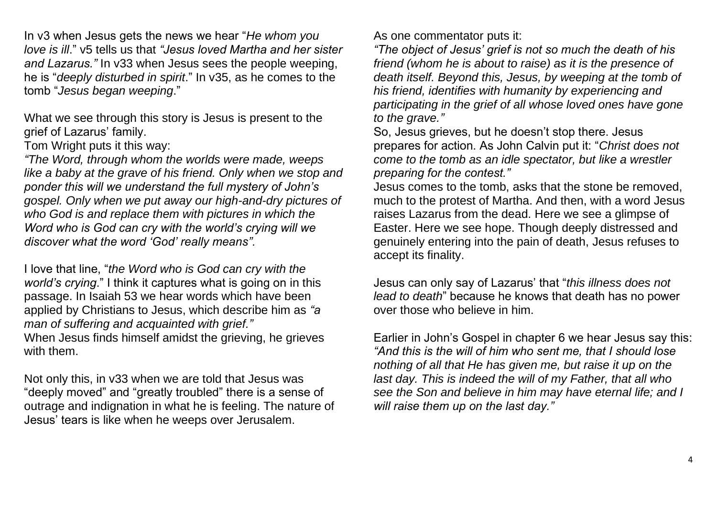In v3 when Jesus gets the news we hear "*He whom you love is ill*." v5 tells us that *"Jesus loved Martha and her sister and Lazarus."* In v33 when Jesus sees the people weeping, he is "*deeply disturbed in spirit*." In v35, as he comes to the tomb "*Jesus began weeping*."

What we see through this story is Jesus is present to the grief of Lazarus' family.

Tom Wright puts it this way:

*"The Word, through whom the worlds were made, weeps like a baby at the grave of his friend. Only when we stop and ponder this will we understand the full mystery of John's gospel. Only when we put away our high-and-dry pictures of who God is and replace them with pictures in which the Word who is God can cry with the world's crying will we discover what the word 'God' really means".*

I love that line, "*the Word who is God can cry with the world's crying*." I think it captures what is going on in this passage. In Isaiah 53 we hear words which have been applied by Christians to Jesus, which describe him as *"a man of suffering and acquainted with grief."* When Jesus finds himself amidst the grieving, he grieves with them.

Not only this, in v33 when we are told that Jesus was "deeply moved" and "greatly troubled" there is a sense of outrage and indignation in what he is feeling. The nature of Jesus' tears is like when he weeps over Jerusalem.

As one commentator puts it:

*"The object of Jesus' grief is not so much the death of his friend (whom he is about to raise) as it is the presence of death itself. Beyond this, Jesus, by weeping at the tomb of his friend, identifies with humanity by experiencing and participating in the grief of all whose loved ones have gone to the grave."* 

So, Jesus grieves, but he doesn't stop there. Jesus prepares for action. As John Calvin put it: "*Christ does not come to the tomb as an idle spectator, but like a wrestler preparing for the contest."*

Jesus comes to the tomb, asks that the stone be removed, much to the protest of Martha. And then, with a word Jesus raises Lazarus from the dead. Here we see a glimpse of Easter. Here we see hope. Though deeply distressed and genuinely entering into the pain of death, Jesus refuses to accept its finality.

Jesus can only say of Lazarus' that "*this illness does not lead to death*" because he knows that death has no power over those who believe in him.

Earlier in John's Gospel in chapter 6 we hear Jesus say this: *"And this is the will of him who sent me, that I should lose nothing of all that He has given me, but raise it up on the last day. This is indeed the will of my Father, that all who see the Son and believe in him may have eternal life; and I will raise them up on the last day."*